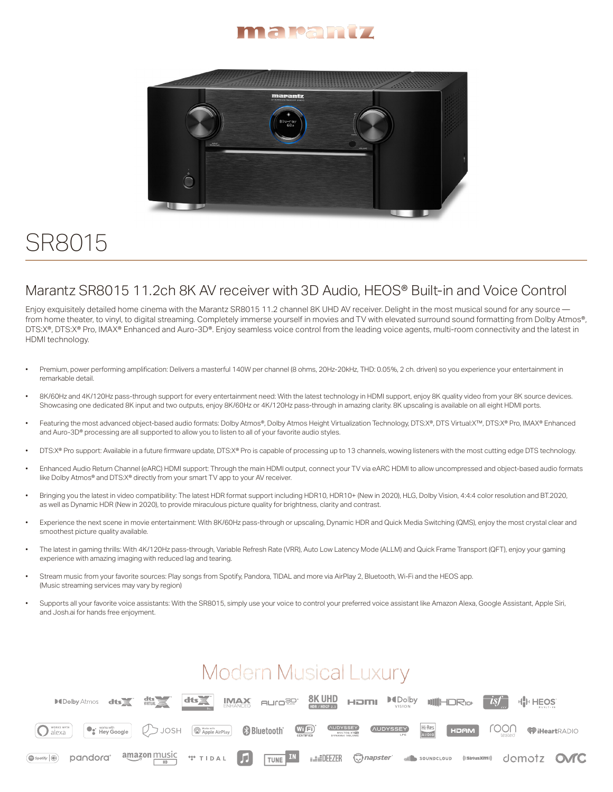



## SR8015

## Marantz SR8015 11.2ch 8K AV receiver with 3D Audio, HEOS® Built-in and Voice Control

Enjoy exquisitely detailed home cinema with the Marantz SR8015 11.2 channel 8K UHD AV receiver. Delight in the most musical sound for any source from home theater, to vinyl, to digital streaming. Completely immerse yourself in movies and TV with elevated surround sound formatting from Dolby Atmos®, DTS:X®, DTS:X® Pro, IMAX® Enhanced and Auro-3D®. Enjoy seamless voice control from the leading voice agents, multi-room connectivity and the latest in HDMI technology.

- Premium, power performing amplification: Delivers a masterful 140W per channel (8 ohms, 20Hz-20kHz, THD: 0.05%, 2 ch. driven) so you experience your entertainment in remarkable detail.
- 8K/60Hz and 4K/120Hz pass-through support for every entertainment need: With the latest technology in HDMI support, enjoy 8K quality video from your 8K source devices. Showcasing one dedicated 8K input and two outputs, enjoy 8K/60Hz or 4K/120Hz pass-through in amazing clarity. 8K upscaling is available on all eight HDMI ports.
- Featuring the most advanced object-based audio formats: Dolby Atmos®, Dolby Atmos Height Virtualization Technology, DTS:X®, DTS Virtual:X™, DTS:X® Pro, IMAX® Enhanced and Auro-3D® processing are all supported to allow you to listen to all of your favorite audio styles.
- DTS:X® Pro support: Available in a future firmware update, DTS:X® Pro is capable of processing up to 13 channels, wowing listeners with the most cutting edge DTS technology.
- Enhanced Audio Return Channel (eARC) HDMI support: Through the main HDMI output, connect your TV via eARC HDMI to allow uncompressed and object-based audio formats like Dolby Atmos® and DTS: X® directly from your smart TV app to your AV receiver.
- Bringing you the latest in video compatibility: The latest HDR format support including HDR10, HDR10+ (New in 2020), HLG, Dolby Vision, 4:4:4 color resolution and BT.2020, as well as Dynamic HDR (New in 2020), to provide miraculous picture quality for brightness, clarity and contrast.
- Experience the next scene in movie entertainment: With 8K/60Hz pass-through or upscaling, Dynamic HDR and Quick Media Switching (QMS), enjoy the most crystal clear and smoothest picture quality available.
- The latest in gaming thrills: With 4K/120Hz pass-through, Variable Refresh Rate (VRR), Auto Low Latency Mode (ALLM) and Quick Frame Transport (QFT), enjoy your gaming experience with amazing imaging with reduced lag and tearing.
- Stream music from your favorite sources: Play songs from Spotify, Pandora, TIDAL and more via AirPlay 2, Bluetooth, Wi-Fi and the HEOS app. (Music streaming services may vary by region)
- Supports all your favorite voice assistants: With the SR8015, simply use your voice to control your preferred voice assistant like Amazon Alexa, Google Assistant, Apple Siri, and Josh.ai for hands free enjoyment.

## **Modern Musical Luxury**